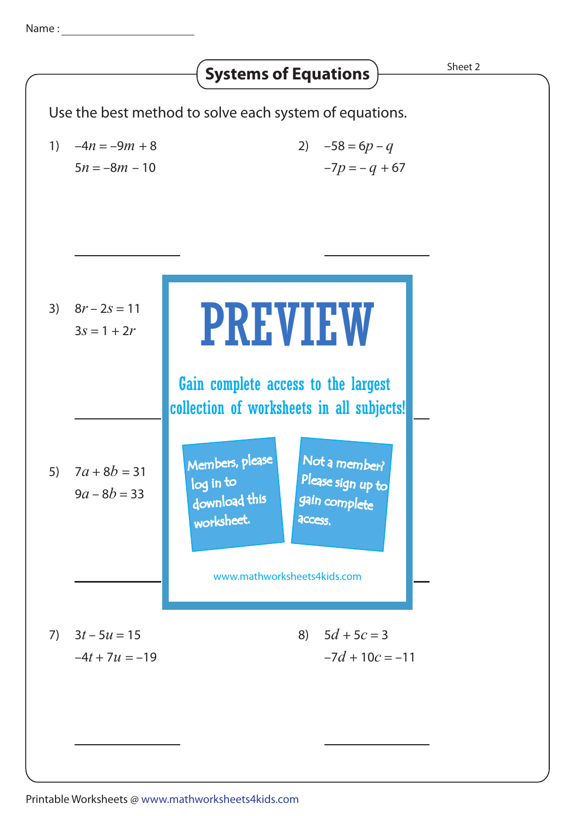